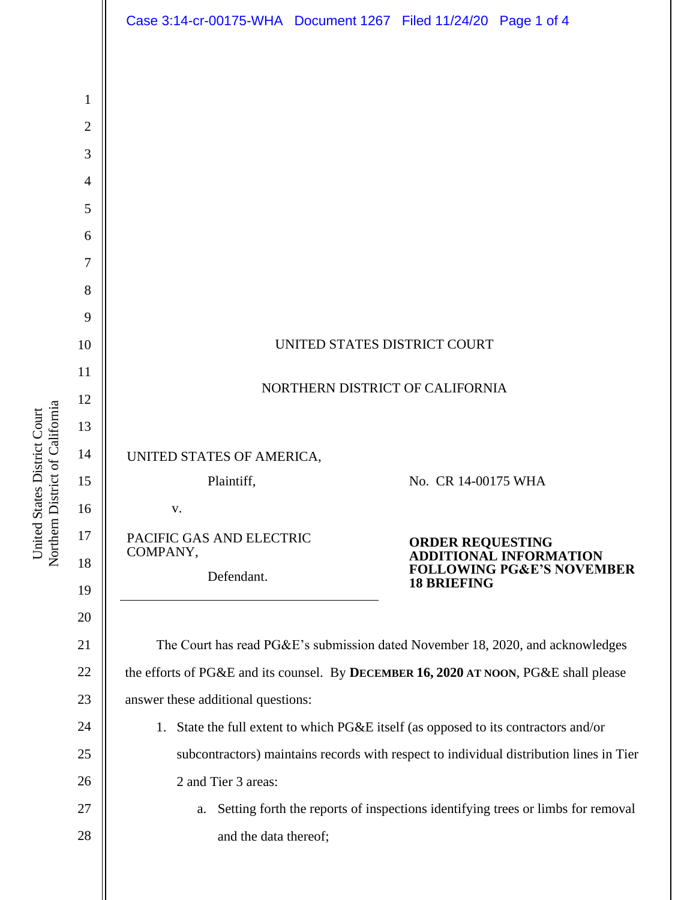|                | Case 3:14-cr-00175-WHA  Document 1267  Filed 11/24/20  Page 1 of 4                      |  |  |
|----------------|-----------------------------------------------------------------------------------------|--|--|
|                |                                                                                         |  |  |
| $\mathbf{1}$   |                                                                                         |  |  |
| $\overline{2}$ |                                                                                         |  |  |
| 3              |                                                                                         |  |  |
| $\overline{4}$ |                                                                                         |  |  |
| 5              |                                                                                         |  |  |
| 6              |                                                                                         |  |  |
| 7              |                                                                                         |  |  |
| 8              |                                                                                         |  |  |
| 9              |                                                                                         |  |  |
| 10             | UNITED STATES DISTRICT COURT                                                            |  |  |
| 11             | NORTHERN DISTRICT OF CALIFORNIA                                                         |  |  |
| 12             |                                                                                         |  |  |
| 13             |                                                                                         |  |  |
| 14             | UNITED STATES OF AMERICA,                                                               |  |  |
| 15             | Plaintiff,<br>No. CR 14-00175 WHA                                                       |  |  |
| 16             | V.                                                                                      |  |  |
| 17             | PACIFIC GAS AND ELECTRIC<br><b>ORDER REQUESTING</b><br>COMPANY,                         |  |  |
| 18             | <b>ADDITIONAL INFORMATION</b><br><b>FOLLOWING PG&amp;E'S NOVEMBER</b><br>Defendant.     |  |  |
| 19             | <b>18 BRIEFING</b>                                                                      |  |  |
| 20             |                                                                                         |  |  |
| 21             | The Court has read PG&E's submission dated November 18, 2020, and acknowledges          |  |  |
| 22             | the efforts of PG&E and its counsel. By DECEMBER 16, 2020 AT NOON, PG&E shall please    |  |  |
| 23             | answer these additional questions:                                                      |  |  |
| 24             | 1. State the full extent to which PG&E itself (as opposed to its contractors and/or     |  |  |
| 25             | subcontractors) maintains records with respect to individual distribution lines in Tier |  |  |
| 26             | 2 and Tier 3 areas:                                                                     |  |  |
| 27             | Setting forth the reports of inspections identifying trees or limbs for removal<br>a.   |  |  |
| 28             | and the data thereof;                                                                   |  |  |
|                |                                                                                         |  |  |
|                |                                                                                         |  |  |

United States District Court<br>Northern District of California Northern District of California United States District Court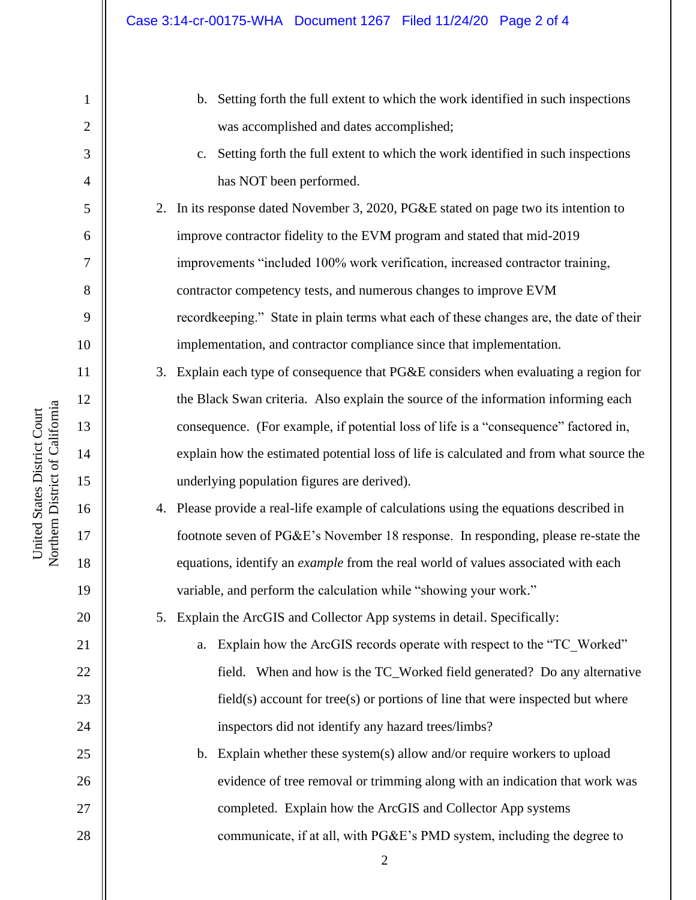| $\mathbf{1}$   | Setting forth the full extent to which the work identified in such inspections<br>$\mathbf{b}$ . |
|----------------|--------------------------------------------------------------------------------------------------|
| $\overline{2}$ | was accomplished and dates accomplished;                                                         |
| 3              | Setting forth the full extent to which the work identified in such inspections<br>$C_{\bullet}$  |
| 4              | has NOT been performed.                                                                          |
| 5              | In its response dated November 3, 2020, PG&E stated on page two its intention to<br>2.           |
| 6              | improve contractor fidelity to the EVM program and stated that mid-2019                          |
| $\tau$         | improvements "included 100% work verification, increased contractor training,                    |
| 8              | contractor competency tests, and numerous changes to improve EVM                                 |
| 9              | recordkeeping." State in plain terms what each of these changes are, the date of their           |
| 10             | implementation, and contractor compliance since that implementation.                             |
| 11             | Explain each type of consequence that PG&E considers when evaluating a region for<br>3.          |
| 12             | the Black Swan criteria. Also explain the source of the information informing each               |
| 13             | consequence. (For example, if potential loss of life is a "consequence" factored in,             |
| 14             | explain how the estimated potential loss of life is calculated and from what source the          |
| 15             | underlying population figures are derived).                                                      |
| 16             | 4. Please provide a real-life example of calculations using the equations described in           |
| 17             | footnote seven of PG&E's November 18 response. In responding, please re-state the                |
| 18             | equations, identify an <i>example</i> from the real world of values associated with each         |
| 19             | variable, and perform the calculation while "showing your work."                                 |
| 20             | Explain the ArcGIS and Collector App systems in detail. Specifically:<br>5.                      |
| 21             | Explain how the ArcGIS records operate with respect to the "TC Worked"<br>a.                     |
| 22             | field. When and how is the TC_Worked field generated? Do any alternative                         |
| 23             | field(s) account for tree(s) or portions of line that were inspected but where                   |
| 24             | inspectors did not identify any hazard trees/limbs?                                              |
| 25             | Explain whether these system(s) allow and/or require workers to upload<br>$\mathbf b$ .          |
| 26             | evidence of tree removal or trimming along with an indication that work was                      |
| 27             | completed. Explain how the ArcGIS and Collector App systems                                      |
| 28             | communicate, if at all, with PG&E's PMD system, including the degree to                          |
|                | 2                                                                                                |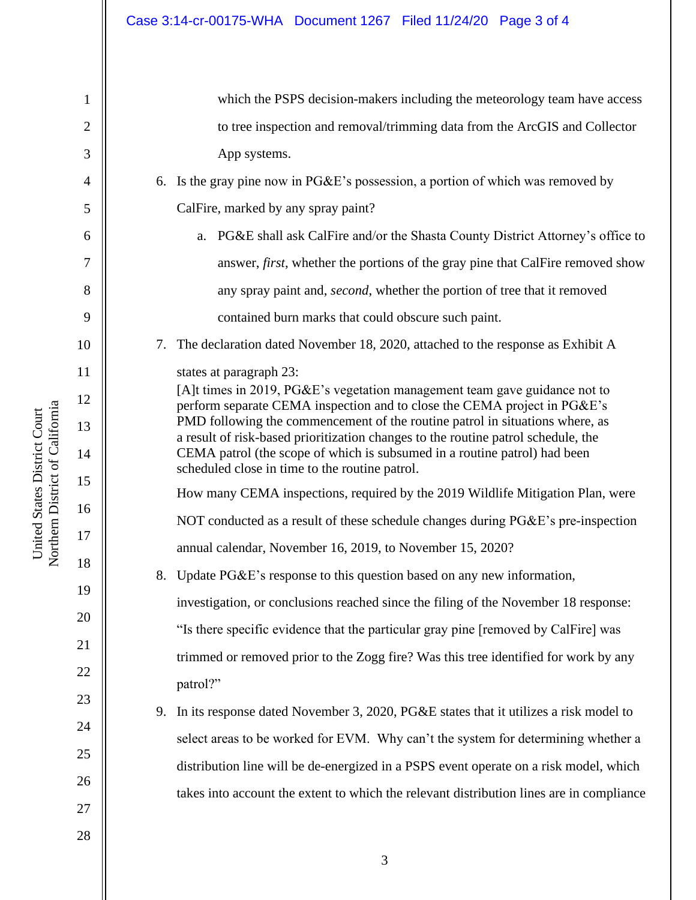| 1              |    | which the PSPS decision-makers including the meteorology team have access                                                                                         |
|----------------|----|-------------------------------------------------------------------------------------------------------------------------------------------------------------------|
| $\mathfrak{2}$ |    | to tree inspection and removal/trimming data from the ArcGIS and Collector                                                                                        |
| 3              |    | App systems.                                                                                                                                                      |
| 4              |    | 6. Is the gray pine now in PG&E's possession, a portion of which was removed by                                                                                   |
| 5              |    | CalFire, marked by any spray paint?                                                                                                                               |
| 6              |    | PG&E shall ask CalFire and/or the Shasta County District Attorney's office to<br>a.                                                                               |
| 7              |    | answer, <i>first</i> , whether the portions of the gray pine that CalFire removed show                                                                            |
| 8              |    | any spray paint and, <i>second</i> , whether the portion of tree that it removed                                                                                  |
| 9              |    | contained burn marks that could obscure such paint.                                                                                                               |
| 10             |    | 7. The declaration dated November 18, 2020, attached to the response as Exhibit A                                                                                 |
| 11             |    | states at paragraph 23:                                                                                                                                           |
| 12             |    | [A]t times in 2019, PG&E's vegetation management team gave guidance not to<br>perform separate CEMA inspection and to close the CEMA project in PG&E's            |
| 13             |    | PMD following the commencement of the routine patrol in situations where, as<br>a result of risk-based prioritization changes to the routine patrol schedule, the |
| 14             |    | CEMA patrol (the scope of which is subsumed in a routine patrol) had been                                                                                         |
| 15             |    | scheduled close in time to the routine patrol.<br>How many CEMA inspections, required by the 2019 Wildlife Mitigation Plan, were                                  |
| 16             |    | NOT conducted as a result of these schedule changes during PG&E's pre-inspection                                                                                  |
| 17             |    | annual calendar, November 16, 2019, to November 15, 2020?                                                                                                         |
| 18             |    | 8. Update PG&E's response to this question based on any new information,                                                                                          |
| 19             |    | investigation, or conclusions reached since the filing of the November 18 response:                                                                               |
| 20             |    | "Is there specific evidence that the particular gray pine [removed by CalFire] was                                                                                |
| 21             |    | trimmed or removed prior to the Zogg fire? Was this tree identified for work by any                                                                               |
| 22             |    | patrol?"                                                                                                                                                          |
| 23             | 9. | In its response dated November 3, 2020, PG&E states that it utilizes a risk model to                                                                              |
| 24             |    | select areas to be worked for EVM. Why can't the system for determining whether a                                                                                 |
| 25             |    | distribution line will be de-energized in a PSPS event operate on a risk model, which                                                                             |
| 26             |    | takes into account the extent to which the relevant distribution lines are in compliance                                                                          |
| 27             |    |                                                                                                                                                                   |
| 28             |    |                                                                                                                                                                   |

3